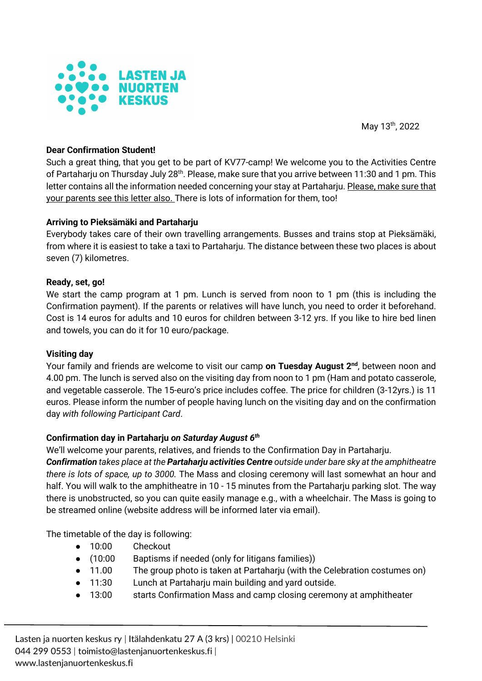

May 13th, 2022

# **Dear Confirmation Student!**

Such a great thing, that you get to be part of KV77-camp! We welcome you to the Activities Centre of Partaharju on Thursday July 28<sup>th</sup>. Please, make sure that you arrive between 11:30 and 1 pm. This letter contains all the information needed concerning your stay at Partaharju. Please, make sure that your parents see this letter also. There is lots of information for them, too!

#### **Arriving to Pieksämäki and Partaharju**

Everybody takes care of their own travelling arrangements. Busses and trains stop at Pieksämäki, from where it is easiest to take a taxi to Partaharju. The distance between these two places is about seven (7) kilometres.

#### **Ready, set, go!**

We start the camp program at 1 pm. Lunch is served from noon to 1 pm (this is including the Confirmation payment). If the parents or relatives will have lunch, you need to order it beforehand. Cost is 14 euros for adults and 10 euros for children between 3-12 yrs. If you like to hire bed linen and towels, you can do it for 10 euro/package.

#### **Visiting day**

Your family and friends are welcome to visit our camp **on Tuesday August 2nd**, between noon and 4.00 pm. The lunch is served also on the visiting day from noon to 1 pm (Ham and potato casserole, and vegetable casserole. The 15-euro's price includes coffee. The price for children (3-12yrs.) is 11 euros. Please inform the number of people having lunch on the visiting day and on the confirmation day *with following Participant Card*.

# **Confirmation day in Partaharju** *on Saturday August 6th*

We'll welcome your parents, relatives, and friends to the Confirmation Day in Partaharju.

*Confirmation takes place at the Partaharju activities Centre outside under bare sky at the amphitheatre there is lots of space, up to 3000.* The Mass and closing ceremony will last somewhat an hour and half. You will walk to the amphitheatre in 10 - 15 minutes from the Partaharju parking slot. The way there is unobstructed, so you can quite easily manage e.g., with a wheelchair. The Mass is going to be streamed online (website address will be informed later via email).

The timetable of the day is following:

- 10:00 Checkout
- (10:00 Baptisms if needed (only for litigans families))
- 11.00 The group photo is taken at Partaharju (with the Celebration costumes on)
- 11:30 Lunch at Partaharju main building and yard outside.
- 13:00 starts Confirmation Mass and camp closing ceremony at amphitheater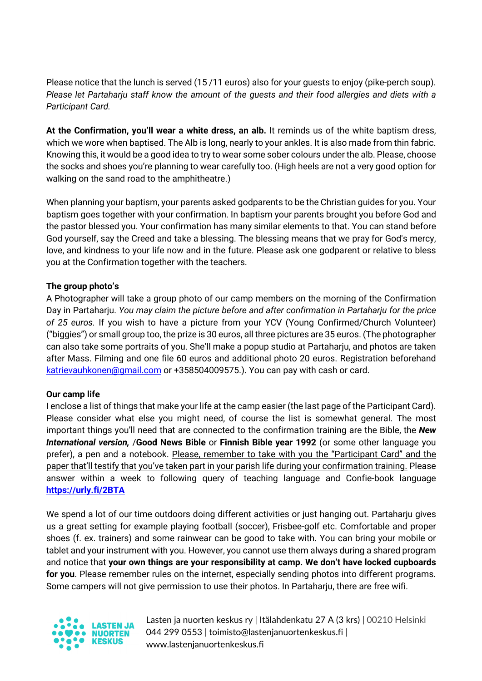Please notice that the lunch is served (15 /11 euros) also for your guests to enjoy (pike-perch soup). *Please let Partaharju staff know the amount of the guests and their food allergies and diets with a Participant Card.*

**At the Confirmation, you'll wear a white dress, an alb.** It reminds us of the white baptism dress, which we wore when baptised. The Alb is long, nearly to your ankles. It is also made from thin fabric. Knowing this, it would be a good idea to try to wear some sober colours under the alb. Please, choose the socks and shoes you're planning to wear carefully too. (High heels are not a very good option for walking on the sand road to the amphitheatre.)

When planning your baptism, your parents asked godparents to be the Christian guides for you. Your baptism goes together with your confirmation. In baptism your parents brought you before God and the pastor blessed you. Your confirmation has many similar elements to that. You can stand before God yourself, say the Creed and take a blessing. The blessing means that we pray for God's mercy, love, and kindness to your life now and in the future. Please ask one godparent or relative to bless you at the Confirmation together with the teachers.

# **The group photo's**

A Photographer will take a group photo of our camp members on the morning of the Confirmation Day in Partaharju. *You may claim the picture before and after confirmation in Partaharju for the price of 25 euros.* If you wish to have a picture from your YCV (Young Confirmed/Church Volunteer) ("biggies") or small group too, the prize is 30 euros, all three pictures are 35 euros. (The photographer can also take some portraits of you. She'll make a popup studio at Partaharju, and photos are taken after Mass. Filming and one file 60 euros and additional photo 20 euros. Registration beforehand katrievauhkonen@gmail.com or +358504009575.). You can pay with cash or card.

# **Our camp life**

I enclose a list of things that make your life at the camp easier (the last page of the Participant Card). Please consider what else you might need, of course the list is somewhat general. The most important things you'll need that are connected to the confirmation training are the Bible, the *New International version,* /**Good News Bible** or **Finnish Bible year 1992** (or some other language you prefer), a pen and a notebook. Please, remember to take with you the "Participant Card" and the paper that'll testify that you've taken part in your parish life during your confirmation training. Please answer within a week to following query of teaching language and Confie-book language **https://urly.fi/2BTA**

We spend a lot of our time outdoors doing different activities or just hanging out. Partaharju gives us a great setting for example playing football (soccer), Frisbee-golf etc. Comfortable and proper shoes (f. ex. trainers) and some rainwear can be good to take with. You can bring your mobile or tablet and your instrument with you. However, you cannot use them always during a shared program and notice that **your own things are your responsibility at camp. We don't have locked cupboards for you**. Please remember rules on the internet, especially sending photos into different programs. Some campers will not give permission to use their photos. In Partaharju, there are free wifi.



Lasten ja nuorten keskus ry | Itälahdenkatu 27 A (3 krs) | 00210 Helsinki 044 299 0553 | toimisto@lastenjanuortenkeskus.fi | www.lastenjanuortenkeskus.fi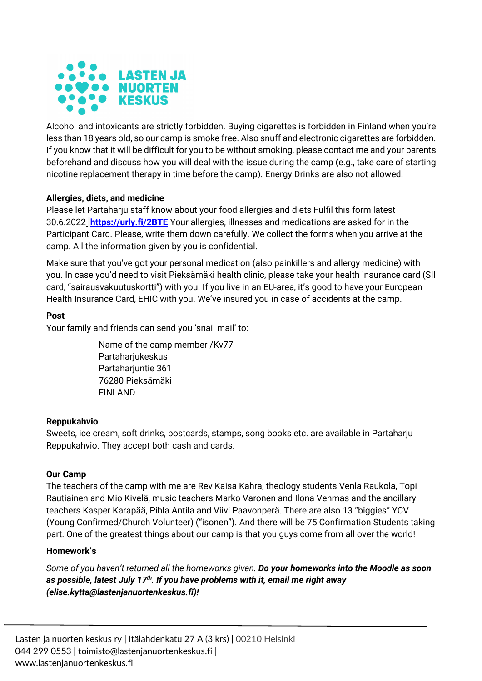

Alcohol and intoxicants are strictly forbidden. Buying cigarettes is forbidden in Finland when you're less than 18 years old, so our camp is smoke free. Also snuff and electronic cigarettes are forbidden. If you know that it will be difficult for you to be without smoking, please contact me and your parents beforehand and discuss how you will deal with the issue during the camp (e.g., take care of starting nicotine replacement therapy in time before the camp). Energy Drinks are also not allowed.

# **Allergies, diets, and medicine**

Please let Partaharju staff know about your food allergies and diets Fulfil this form latest 30.6.2022 **https://urly.fi/2BTE** Your allergies, illnesses and medications are asked for in the Participant Card. Please, write them down carefully. We collect the forms when you arrive at the camp. All the information given by you is confidential.

Make sure that you've got your personal medication (also painkillers and allergy medicine) with you. In case you'd need to visit Pieksämäki health clinic, please take your health insurance card (SII card, "sairausvakuutuskortti") with you. If you live in an EU-area, it's good to have your European Health Insurance Card, EHIC with you. We've insured you in case of accidents at the camp.

# **Post**

Your family and friends can send you 'snail mail' to:

Name of the camp member /Kv77 Partaharjukeskus Partaharjuntie 361 76280 Pieksämäki FINLAND

# **Reppukahvio**

Sweets, ice cream, soft drinks, postcards, stamps, song books etc. are available in Partaharju Reppukahvio. They accept both cash and cards.

# **Our Camp**

The teachers of the camp with me are Rev Kaisa Kahra, theology students Venla Raukola, Topi Rautiainen and Mio Kivelä, music teachers Marko Varonen and Ilona Vehmas and the ancillary teachers Kasper Karapää, Pihla Antila and Viivi Paavonperä. There are also 13 "biggies" YCV (Young Confirmed/Church Volunteer) ("isonen"). And there will be 75 Confirmation Students taking part. One of the greatest things about our camp is that you guys come from all over the world!

# **Homework's**

*Some of you haven't returned all the homeworks given. Do your homeworks into the Moodle as soon as possible, latest July 17th. If you have problems with it, email me right away (elise.kytta@lastenjanuortenkeskus.fi)!*